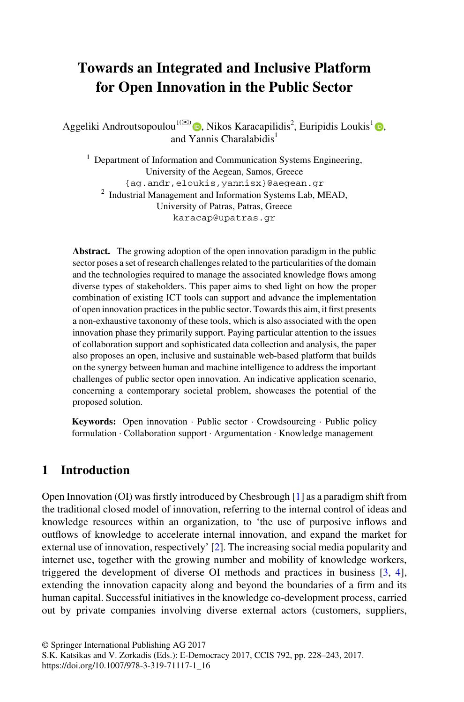# **Towards an Integrated and Inclusive Platform for Open Innovation in the Public Sector**

Aggeliki Androutsopoulou<sup>1(⊠)</sup> (D, Nikos Karacapilidis<sup>2</sup>, Euripidis Loukis<sup>1</sup> (D, and Yannis Charalabidis $<sup>1</sup>$ </sup>

 $<sup>1</sup>$  Department of Information and Communication Systems Engineering,</sup> University of the Aegean, Samos, Greece {ag.andr,eloukis,yannisx}@aegean.gr <sup>2</sup> Industrial Management and Information Systems Lab, MEAD, University of Patras, Patras, Greece karacap@upatras.gr

**Abstract.** The growing adoption of the open innovation paradigm in the public sector poses a set of research challenges related to the particularities of the domain and the technologies required to manage the associated knowledge flows among diverse types of stakeholders. This paper aims to shed light on how the proper combination of existing ICT tools can support and advance the implementation of open innovation practices in the public sector. Towards this aim, it first presents a non-exhaustive taxonomy of these tools, which is also associated with the open innovation phase they primarily support. Paying particular attention to the issues of collaboration support and sophisticated data collection and analysis, the paper also proposes an open, inclusive and sustainable web-based platform that builds on the synergy between human and machine intelligence to address the important challenges of public sector open innovation. An indicative application scenario, concerning a contemporary societal problem, showcases the potential of the proposed solution.

**Keywords:** Open innovation · Public sector · Crowdsourcing · Public policy formulation · Collaboration support · Argumentation · Knowledge management

# **1 Introduction**

Open Innovation (OI) was firstly introduced by Chesbrough [\[1](#page-13-0)] as a paradigm shift from the traditional closed model of innovation, referring to the internal control of ideas and knowledge resources within an organization, to 'the use of purposive inflows and outflows of knowledge to accelerate internal innovation, and expand the market for external use of innovation, respectively' [\[2](#page-13-0)]. The increasing social media popularity and internet use, together with the growing number and mobility of knowledge workers, triggered the development of diverse OI methods and practices in business [\[3,](#page-13-0) [4\]](#page-13-0), extending the innovation capacity along and beyond the boundaries of a firm and its human capital. Successful initiatives in the knowledge co-development process, carried out by private companies involving diverse external actors (customers, suppliers,

<sup>©</sup> Springer International Publishing AG 2017 S.K. Katsikas and V. Zorkadis (Eds.): E-Democracy 2017, CCIS 792, pp. 228–243, 2017. https://doi.org/10.1007/978-3-319-71117-1\_16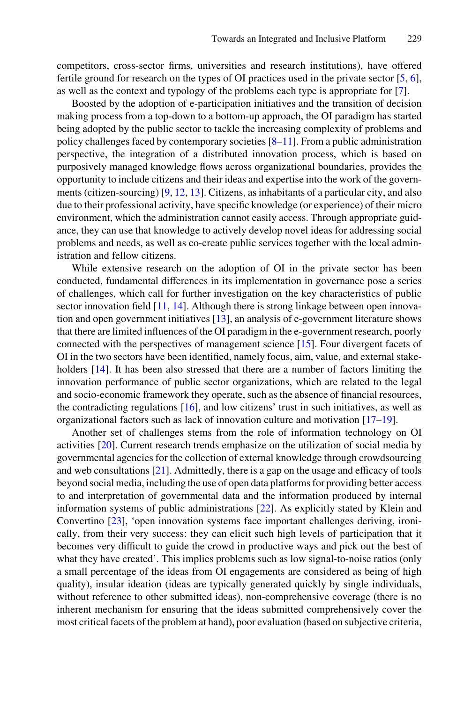competitors, cross-sector firms, universities and research institutions), have offered fertile ground for research on the types of OI practices used in the private sector [\[5,](#page-13-0) [6\]](#page-13-0), as well as the context and typology of the problems each type is appropriate for [\[7](#page-13-0)].

Boosted by the adoption of e-participation initiatives and the transition of decision making process from a top-down to a bottom-up approach, the OI paradigm has started being adopted by the public sector to tackle the increasing complexity of problems and policy challenges faced by contemporary societies  $[8-11]$ . From a public administration perspective, the integration of a distributed innovation process, which is based on purposively managed knowledge flows across organizational boundaries, provides the opportunity to include citizens and their ideas and expertise into the work of the govern‐ ments (citizen-sourcing) [[9](#page-13-0), [12](#page-13-0), [13\]](#page-13-0). Citizens, as inhabitants of a particular city, and also due to their professional activity, have specific knowledge (or experience) of their micro environment, which the administration cannot easily access. Through appropriate guidance, they can use that knowledge to actively develop novel ideas for addressing social problems and needs, as well as co-create public services together with the local administration and fellow citizens.

While extensive research on the adoption of OI in the private sector has been conducted, fundamental differences in its implementation in governance pose a series of challenges, which call for further investigation on the key characteristics of public sector innovation field  $[11, 14]$  $[11, 14]$  $[11, 14]$  $[11, 14]$ . Although there is strong linkage between open innovation and open government initiatives [\[13](#page-13-0)], an analysis of e-government literature shows that there are limited influences of the OI paradigm in the e-government research, poorly connected with the perspectives of management science [[15\]](#page-14-0). Four divergent facets of OI in the two sectors have been identified, namely focus, aim, value, and external stake‐ holders [[14\]](#page-14-0). It has been also stressed that there are a number of factors limiting the innovation performance of public sector organizations, which are related to the legal and socio-economic framework they operate, such as the absence of financial resources, the contradicting regulations [\[16](#page-14-0)], and low citizens' trust in such initiatives, as well as organizational factors such as lack of innovation culture and motivation [[17–19\]](#page-14-0).

Another set of challenges stems from the role of information technology on OI activities [[20\]](#page-14-0). Current research trends emphasize on the utilization of social media by governmental agencies for the collection of external knowledge through crowdsourcing and web consultations [\[21](#page-14-0)]. Admittedly, there is a gap on the usage and efficacy of tools beyond social media, including the use of open data platforms for providing better access to and interpretation of governmental data and the information produced by internal information systems of public administrations [\[22](#page-14-0)]. As explicitly stated by Klein and Convertino [\[23](#page-14-0)], 'open innovation systems face important challenges deriving, ironically, from their very success: they can elicit such high levels of participation that it becomes very difficult to guide the crowd in productive ways and pick out the best of what they have created'. This implies problems such as low signal-to-noise ratios (only a small percentage of the ideas from OI engagements are considered as being of high quality), insular ideation (ideas are typically generated quickly by single individuals, without reference to other submitted ideas), non-comprehensive coverage (there is no inherent mechanism for ensuring that the ideas submitted comprehensively cover the most critical facets of the problem at hand), poor evaluation (based on subjective criteria,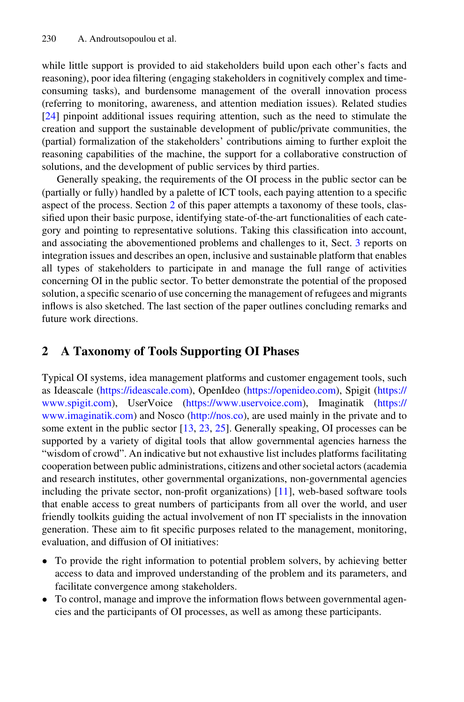<span id="page-2-0"></span>while little support is provided to aid stakeholders build upon each other's facts and reasoning), poor idea filtering (engaging stakeholders in cognitively complex and timeconsuming tasks), and burdensome management of the overall innovation process (referring to monitoring, awareness, and attention mediation issues). Related studies [\[24](#page-14-0)] pinpoint additional issues requiring attention, such as the need to stimulate the creation and support the sustainable development of public/private communities, the (partial) formalization of the stakeholders' contributions aiming to further exploit the reasoning capabilities of the machine, the support for a collaborative construction of solutions, and the development of public services by third parties.

Generally speaking, the requirements of the OI process in the public sector can be (partially or fully) handled by a palette of ICT tools, each paying attention to a specific aspect of the process. Section 2 of this paper attempts a taxonomy of these tools, classified upon their basic purpose, identifying state-of-the-art functionalities of each cate‐ gory and pointing to representative solutions. Taking this classification into account, and associating the abovementioned problems and challenges to it, Sect. [3](#page-9-0) reports on integration issues and describes an open, inclusive and sustainable platform that enables all types of stakeholders to participate in and manage the full range of activities concerning OI in the public sector. To better demonstrate the potential of the proposed solution, a specific scenario of use concerning the management of refugees and migrants inflows is also sketched. The last section of the paper outlines concluding remarks and future work directions.

# **2 A Taxonomy of Tools Supporting OI Phases**

Typical OI systems, idea management platforms and customer engagement tools, such as Ideascale (<https://ideascale.com>), OpenIdeo [\(https://openideo.com](https://openideo.com)), Spigit ([https://](https://www.spigit.com) [www.spigit.com\)](https://www.spigit.com), UserVoice (<https://www.uservoice.com>), Imaginatik ([https://](https://www.imaginatik.com) [www.imaginatik.com](https://www.imaginatik.com)) and Nosco ([http://nos.co\)](http://nos.co), are used mainly in the private and to some extent in the public sector  $[13, 23, 25]$  $[13, 23, 25]$  $[13, 23, 25]$  $[13, 23, 25]$  $[13, 23, 25]$  $[13, 23, 25]$ . Generally speaking, OI processes can be supported by a variety of digital tools that allow governmental agencies harness the "wisdom of crowd". An indicative but not exhaustive list includes platforms facilitating cooperation between public administrations, citizens and other societal actors (academia and research institutes, other governmental organizations, non-governmental agencies including the private sector, non-profit organizations) [\[11](#page-13-0)], web-based software tools that enable access to great numbers of participants from all over the world, and user friendly toolkits guiding the actual involvement of non IT specialists in the innovation generation. These aim to fit specific purposes related to the management, monitoring, evaluation, and diffusion of OI initiatives:

- To provide the right information to potential problem solvers, by achieving better access to data and improved understanding of the problem and its parameters, and facilitate convergence among stakeholders.
- To control, manage and improve the information flows between governmental agencies and the participants of OI processes, as well as among these participants.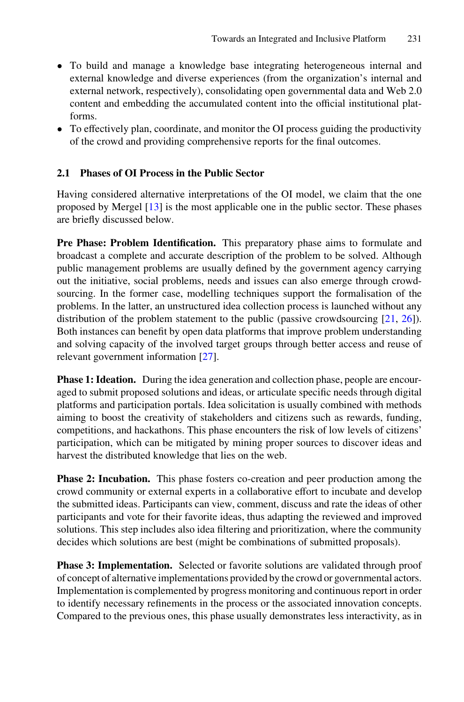- To build and manage a knowledge base integrating heterogeneous internal and external knowledge and diverse experiences (from the organization's internal and external network, respectively), consolidating open governmental data and Web 2.0 content and embedding the accumulated content into the official institutional platforms.
- To effectively plan, coordinate, and monitor the OI process guiding the productivity of the crowd and providing comprehensive reports for the final outcomes.

## **2.1 Phases of OI Process in the Public Sector**

Having considered alternative interpretations of the OI model, we claim that the one proposed by Mergel [[13\]](#page-13-0) is the most applicable one in the public sector. These phases are briefly discussed below.

**Pre Phase: Problem Identification.** This preparatory phase aims to formulate and broadcast a complete and accurate description of the problem to be solved. Although public management problems are usually defined by the government agency carrying out the initiative, social problems, needs and issues can also emerge through crowd‐ sourcing. In the former case, modelling techniques support the formalisation of the problems. In the latter, an unstructured idea collection process is launched without any distribution of the problem statement to the public (passive crowdsourcing [[21,](#page-14-0) [26](#page-14-0)]). Both instances can benefit by open data platforms that improve problem understanding and solving capacity of the involved target groups through better access and reuse of relevant government information [[27\]](#page-14-0).

**Phase 1: Ideation.** During the idea generation and collection phase, people are encouraged to submit proposed solutions and ideas, or articulate specific needs through digital platforms and participation portals. Idea solicitation is usually combined with methods aiming to boost the creativity of stakeholders and citizens such as rewards, funding, competitions, and hackathons. This phase encounters the risk of low levels of citizens' participation, which can be mitigated by mining proper sources to discover ideas and harvest the distributed knowledge that lies on the web.

**Phase 2: Incubation.** This phase fosters co-creation and peer production among the crowd community or external experts in a collaborative effort to incubate and develop the submitted ideas. Participants can view, comment, discuss and rate the ideas of other participants and vote for their favorite ideas, thus adapting the reviewed and improved solutions. This step includes also idea filtering and prioritization, where the community decides which solutions are best (might be combinations of submitted proposals).

**Phase 3: Implementation.** Selected or favorite solutions are validated through proof of concept of alternative implementations provided by the crowd or governmental actors. Implementation is complemented by progress monitoring and continuous report in order to identify necessary refinements in the process or the associated innovation concepts. Compared to the previous ones, this phase usually demonstrates less interactivity, as in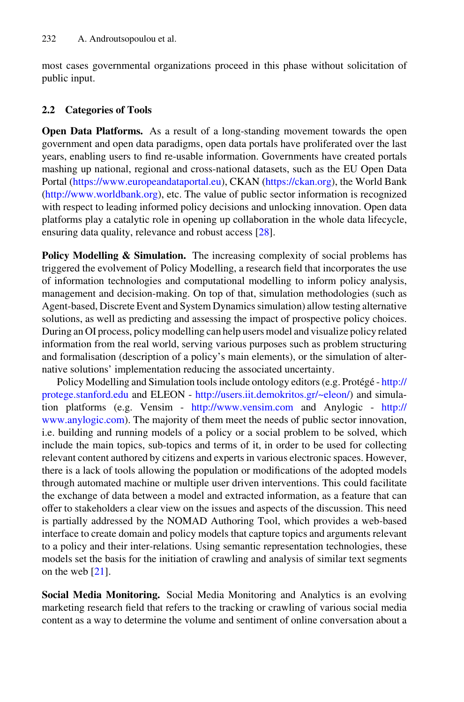most cases governmental organizations proceed in this phase without solicitation of public input.

# **2.2 Categories of Tools**

**Open Data Platforms.** As a result of a long-standing movement towards the open government and open data paradigms, open data portals have proliferated over the last years, enabling users to find re-usable information. Governments have created portals mashing up national, regional and cross-national datasets, such as the EU Open Data Portal [\(https://www.europeandataportal.eu\)](https://www.europeandataportal.eu), CKAN (<https://ckan.org>), the World Bank [\(http://www.worldbank.org\)](http://www.worldbank.org), etc. The value of public sector information is recognized with respect to leading informed policy decisions and unlocking innovation. Open data platforms play a catalytic role in opening up collaboration in the whole data lifecycle, ensuring data quality, relevance and robust access [\[28](#page-14-0)].

**Policy Modelling & Simulation.** The increasing complexity of social problems has triggered the evolvement of Policy Modelling, a research field that incorporates the use of information technologies and computational modelling to inform policy analysis, management and decision-making. On top of that, simulation methodologies (such as Agent-based, Discrete Event and System Dynamics simulation) allow testing alternative solutions, as well as predicting and assessing the impact of prospective policy choices. During an OI process, policy modelling can help users model and visualize policy related information from the real world, serving various purposes such as problem structuring and formalisation (description of a policy's main elements), or the simulation of alter‐ native solutions' implementation reducing the associated uncertainty.

Policy Modelling and Simulation tools include ontology editors (e.g. Protégé - [http://](http://protege.stanford.edu) [protege.stanford.edu](http://protege.stanford.edu) and ELEON - <http://users.iit.demokritos.gr/~eleon/>) and simula‐ tion platforms (e.g. Vensim - <http://www.vensim.com> and Anylogic - [http://](http://www.anylogic.com) [www.anylogic.com\)](http://www.anylogic.com). The majority of them meet the needs of public sector innovation, i.e. building and running models of a policy or a social problem to be solved, which include the main topics, sub-topics and terms of it, in order to be used for collecting relevant content authored by citizens and experts in various electronic spaces. However, there is a lack of tools allowing the population or modifications of the adopted models through automated machine or multiple user driven interventions. This could facilitate the exchange of data between a model and extracted information, as a feature that can offer to stakeholders a clear view on the issues and aspects of the discussion. This need is partially addressed by the NOMAD Authoring Tool, which provides a web-based interface to create domain and policy models that capture topics and arguments relevant to a policy and their inter-relations. Using semantic representation technologies, these models set the basis for the initiation of crawling and analysis of similar text segments on the web [\[21](#page-14-0)].

**Social Media Monitoring.** Social Media Monitoring and Analytics is an evolving marketing research field that refers to the tracking or crawling of various social media content as a way to determine the volume and sentiment of online conversation about a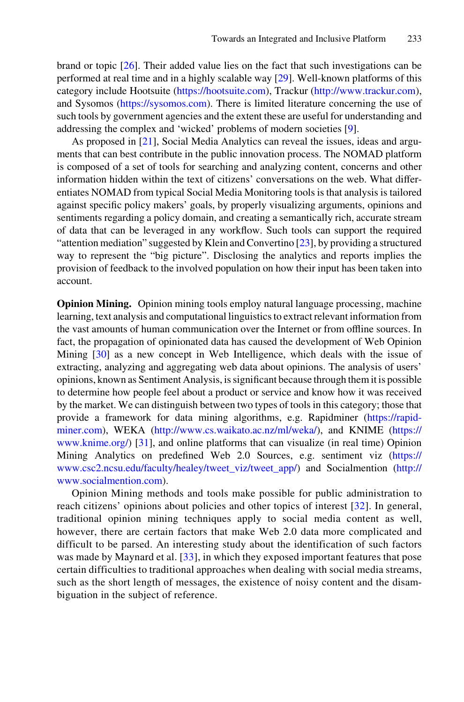brand or topic [\[26](#page-14-0)]. Their added value lies on the fact that such investigations can be performed at real time and in a highly scalable way [\[29](#page-14-0)]. Well-known platforms of this category include Hootsuite ([https://hootsuite.com\)](https://hootsuite.com), Trackur ([http://www.trackur.com\)](http://www.trackur.com), and Sysomos [\(https://sysomos.com\)](https://sysomos.com). There is limited literature concerning the use of such tools by government agencies and the extent these are useful for understanding and addressing the complex and 'wicked' problems of modern societies [[9\]](#page-13-0).

As proposed in [[21\]](#page-14-0), Social Media Analytics can reveal the issues, ideas and arguments that can best contribute in the public innovation process. The NOMAD platform is composed of a set of tools for searching and analyzing content, concerns and other information hidden within the text of citizens' conversations on the web. What differentiates NOMAD from typical Social Media Monitoring tools is that analysis is tailored against specific policy makers' goals, by properly visualizing arguments, opinions and sentiments regarding a policy domain, and creating a semantically rich, accurate stream of data that can be leveraged in any workflow. Such tools can support the required "attention mediation" suggested by Klein and Convertino [[23\]](#page-14-0), by providing a structured way to represent the "big picture". Disclosing the analytics and reports implies the provision of feedback to the involved population on how their input has been taken into account.

**Opinion Mining.** Opinion mining tools employ natural language processing, machine learning, text analysis and computational linguistics to extract relevant information from the vast amounts of human communication over the Internet or from offline sources. In fact, the propagation of opinionated data has caused the development of Web Opinion Mining [[30\]](#page-14-0) as a new concept in Web Intelligence, which deals with the issue of extracting, analyzing and aggregating web data about opinions. The analysis of users' opinions, known as Sentiment Analysis, is significant because through them it is possible to determine how people feel about a product or service and know how it was received by the market. We can distinguish between two types of tools in this category; those that provide a framework for data mining algorithms, e.g. Rapidminer (https://rapid[miner.com\)](https://rapidminer.com), WEKA [\(http://www.cs.waikato.ac.nz/ml/weka/](http://www.cs.waikato.ac.nz/ml/weka/)), and KNIME ([https://](https://www.knime.org/) [www.knime.org/\)](https://www.knime.org/) [\[31](#page-15-0)], and online platforms that can visualize (in real time) Opinion Mining Analytics on predefined Web 2.0 Sources, e.g. sentiment viz ([https://](https://www.csc2.ncsu.edu/faculty/healey/tweet_viz/tweet_app/) [www.csc2.ncsu.edu/faculty/healey/tweet\\_viz/tweet\\_app/](https://www.csc2.ncsu.edu/faculty/healey/tweet_viz/tweet_app/)) and Socialmention ([http://](http://www.socialmention.com) [www.socialmention.com\)](http://www.socialmention.com).

Opinion Mining methods and tools make possible for public administration to reach citizens' opinions about policies and other topics of interest [[32\]](#page-15-0). In general, traditional opinion mining techniques apply to social media content as well, however, there are certain factors that make Web 2.0 data more complicated and difficult to be parsed. An interesting study about the identification of such factors was made by Maynard et al. [[33\]](#page-15-0), in which they exposed important features that pose certain difficulties to traditional approaches when dealing with social media streams, such as the short length of messages, the existence of noisy content and the disambiguation in the subject of reference.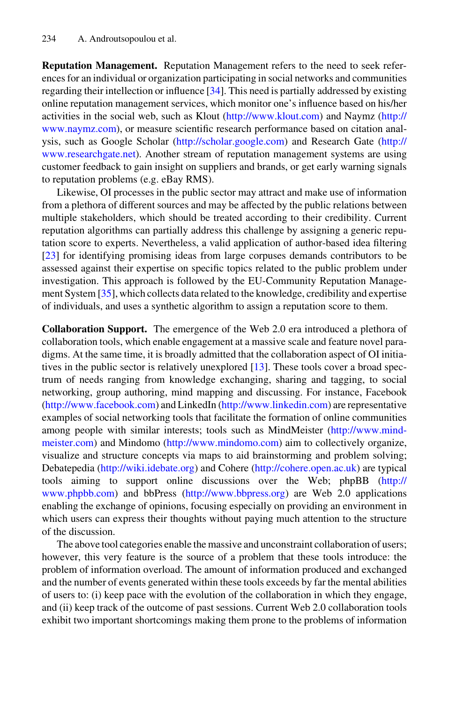**Reputation Management.** Reputation Management refers to the need to seek refer‐ ences for an individual or organization participating in social networks and communities regarding their intellection or influence [[34\]](#page-15-0). This need is partially addressed by existing online reputation management services, which monitor one's influence based on his/her activities in the social web, such as Klout [\(http://www.klout.com\)](http://www.klout.com) and Naymz ([http://](http://www.naymz.com) [www.naymz.com](http://www.naymz.com)), or measure scientific research performance based on citation analysis, such as Google Scholar [\(http://scholar.google.com](http://scholar.google.com)) and Research Gate ([http://](http://www.researchgate.net) [www.researchgate.net\)](http://www.researchgate.net). Another stream of reputation management systems are using customer feedback to gain insight on suppliers and brands, or get early warning signals to reputation problems (e.g. eBay RMS).

Likewise, OI processes in the public sector may attract and make use of information from a plethora of different sources and may be affected by the public relations between multiple stakeholders, which should be treated according to their credibility. Current reputation algorithms can partially address this challenge by assigning a generic reputation score to experts. Nevertheless, a valid application of author-based idea filtering [\[23](#page-14-0)] for identifying promising ideas from large corpuses demands contributors to be assessed against their expertise on specific topics related to the public problem under investigation. This approach is followed by the EU-Community Reputation Management System [[35\]](#page-15-0), which collects data related to the knowledge, credibility and expertise of individuals, and uses a synthetic algorithm to assign a reputation score to them.

**Collaboration Support.** The emergence of the Web 2.0 era introduced a plethora of collaboration tools, which enable engagement at a massive scale and feature novel paradigms. At the same time, it is broadly admitted that the collaboration aspect of OI initia‐ tives in the public sector is relatively unexplored  $[13]$  $[13]$ . These tools cover a broad spectrum of needs ranging from knowledge exchanging, sharing and tagging, to social networking, group authoring, mind mapping and discussing. For instance, Facebook [\(http://www.facebook.com](http://www.facebook.com)) and LinkedIn [\(http://www.linkedin.com\)](http://www.linkedin.com) are representative examples of social networking tools that facilitate the formation of online communities among people with similar interests; tools such as MindMeister (http://www.mind[meister.com\)](http://www.mindmeister.com) and Mindomo [\(http://www.mindomo.com](http://www.mindomo.com)) aim to collectively organize, visualize and structure concepts via maps to aid brainstorming and problem solving; Debatepedia [\(http://wiki.idebate.org](http://wiki.idebate.org)) and Cohere ([http://cohere.open.ac.uk\)](http://cohere.open.ac.uk) are typical tools aiming to support online discussions over the Web; phpBB ([http://](http://www.phpbb.com) [www.phpbb.com\)](http://www.phpbb.com) and bbPress (<http://www.bbpress.org>) are Web 2.0 applications enabling the exchange of opinions, focusing especially on providing an environment in which users can express their thoughts without paying much attention to the structure of the discussion.

The above tool categories enable the massive and unconstraint collaboration of users; however, this very feature is the source of a problem that these tools introduce: the problem of information overload. The amount of information produced and exchanged and the number of events generated within these tools exceeds by far the mental abilities of users to: (i) keep pace with the evolution of the collaboration in which they engage, and (ii) keep track of the outcome of past sessions. Current Web 2.0 collaboration tools exhibit two important shortcomings making them prone to the problems of information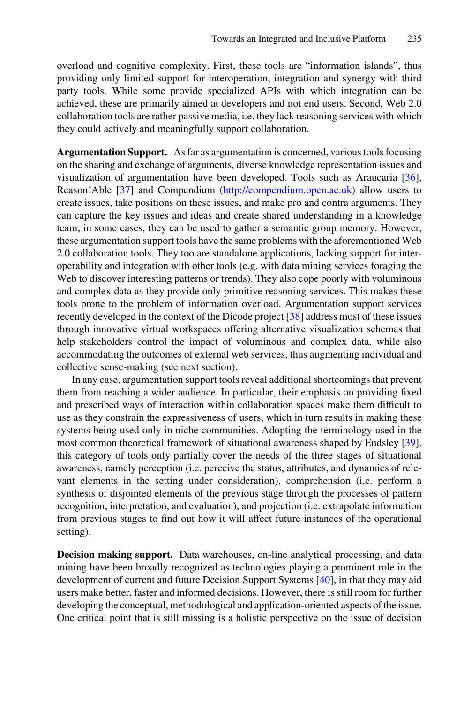overload and cognitive complexity. First, these tools are "information islands", thus providing only limited support for interoperation, integration and synergy with third party tools. While some provide specialized APIs with which integration can be achieved, these are primarily aimed at developers and not end users. Second, Web 2.0 collaboration tools are rather passive media, i.e. they lack reasoning services with which they could actively and meaningfully support collaboration.

**Argumentation Support.** As far as argumentation is concerned, various tools focusing on the sharing and exchange of arguments, diverse knowledge representation issues and visualization of argumentation have been developed. Tools such as Araucaria [[36\]](#page-15-0), Reason!Able [[37](#page-15-0)] and Compendium [\(http://compendium.open.ac.uk](http://compendium.open.ac.uk)) allow users to create issues, take positions on these issues, and make pro and contra arguments. They can capture the key issues and ideas and create shared understanding in a knowledge team; in some cases, they can be used to gather a semantic group memory. However, these argumentation support tools have the same problems with the aforementioned Web 2.0 collaboration tools. They too are standalone applications, lacking support for inter‐ operability and integration with other tools (e.g. with data mining services foraging the Web to discover interesting patterns or trends). They also cope poorly with voluminous and complex data as they provide only primitive reasoning services. This makes these tools prone to the problem of information overload. Argumentation support services recently developed in the context of the Dicode project [\[38\]](#page-15-0) address most of these issues through innovative virtual workspaces offering alternative visualization schemas that help stakeholders control the impact of voluminous and complex data, while also accommodating the outcomes of external web services, thus augmenting individual and collective sense-making (see next section).

In any case, argumentation support tools reveal additional shortcomings that prevent them from reaching a wider audience. In particular, their emphasis on providing fixed and prescribed ways of interaction within collaboration spaces make them difficult to use as they constrain the expressiveness of users, which in turn results in making these systems being used only in niche communities. Adopting the terminology used in the most common theoretical framework of situational awareness shaped by Endsley [[39\]](#page-15-0), this category of tools only partially cover the needs of the three stages of situational awareness, namely perception (i.e. perceive the status, attributes, and dynamics of rele‐ vant elements in the setting under consideration), comprehension (i.e. perform a synthesis of disjointed elements of the previous stage through the processes of pattern recognition, interpretation, and evaluation), and projection (i.e. extrapolate information from previous stages to find out how it will affect future instances of the operational setting).

**Decision making support.** Data warehouses, on-line analytical processing, and data mining have been broadly recognized as technologies playing a prominent role in the development of current and future Decision Support Systems [[40\]](#page-15-0), in that they may aid users make better, faster and informed decisions. However, there is still room for further developing the conceptual, methodological and application-oriented aspects of the issue. One critical point that is still missing is a holistic perspective on the issue of decision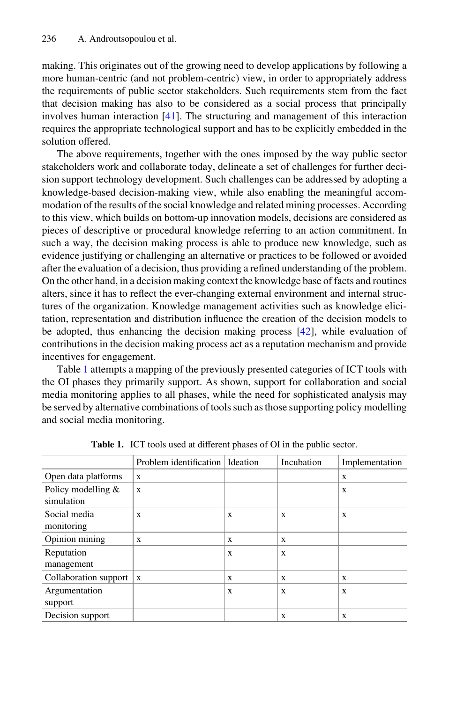making. This originates out of the growing need to develop applications by following a more human-centric (and not problem-centric) view, in order to appropriately address the requirements of public sector stakeholders. Such requirements stem from the fact that decision making has also to be considered as a social process that principally involves human interaction [[41\]](#page-15-0). The structuring and management of this interaction requires the appropriate technological support and has to be explicitly embedded in the solution offered.

The above requirements, together with the ones imposed by the way public sector stakeholders work and collaborate today, delineate a set of challenges for further decision support technology development. Such challenges can be addressed by adopting a knowledge-based decision-making view, while also enabling the meaningful accommodation of the results of the social knowledge and related mining processes. According to this view, which builds on bottom-up innovation models, decisions are considered as pieces of descriptive or procedural knowledge referring to an action commitment. In such a way, the decision making process is able to produce new knowledge, such as evidence justifying or challenging an alternative or practices to be followed or avoided after the evaluation of a decision, thus providing a refined understanding of the problem. On the other hand, in a decision making context the knowledge base of facts and routines alters, since it has to reflect the ever-changing external environment and internal structures of the organization. Knowledge management activities such as knowledge elicitation, representation and distribution influence the creation of the decision models to be adopted, thus enhancing the decision making process  $[42]$  $[42]$  $[42]$ , while evaluation of contributions in the decision making process act as a reputation mechanism and provide incentives for engagement.

Table 1 attempts a mapping of the previously presented categories of ICT tools with the OI phases they primarily support. As shown, support for collaboration and social media monitoring applies to all phases, while the need for sophisticated analysis may be served by alternative combinations of tools such as those supporting policy modelling and social media monitoring.

|                                  | Problem identification   Ideation |   | Incubation | Implementation |
|----------------------------------|-----------------------------------|---|------------|----------------|
| Open data platforms              | X                                 |   |            | X              |
| Policy modelling &<br>simulation | X                                 |   |            | X              |
| Social media<br>monitoring       | $\boldsymbol{\mathrm{x}}$         | X | X          | X              |
| Opinion mining                   | X                                 | X | X          |                |
| Reputation<br>management         |                                   | X | X          |                |
| Collaboration support            | X                                 | X | X          | X              |
| Argumentation<br>support         |                                   | X | X          | X              |
| Decision support                 |                                   |   | X          | X              |

**Table 1.** ICT tools used at different phases of OI in the public sector.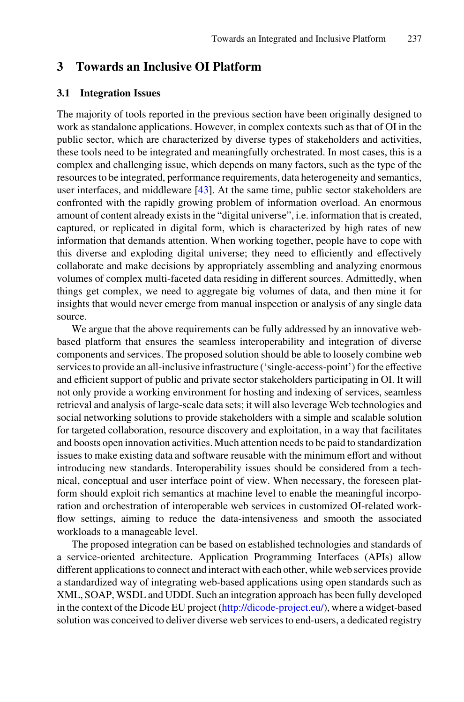## <span id="page-9-0"></span>**3 Towards an Inclusive OI Platform**

#### **3.1 Integration Issues**

The majority of tools reported in the previous section have been originally designed to work as standalone applications. However, in complex contexts such as that of OI in the public sector, which are characterized by diverse types of stakeholders and activities, these tools need to be integrated and meaningfully orchestrated. In most cases, this is a complex and challenging issue, which depends on many factors, such as the type of the resources to be integrated, performance requirements, data heterogeneity and semantics, user interfaces, and middleware [[43\]](#page-15-0). At the same time, public sector stakeholders are confronted with the rapidly growing problem of information overload. An enormous amount of content already exists in the "digital universe", i.e. information that is created, captured, or replicated in digital form, which is characterized by high rates of new information that demands attention. When working together, people have to cope with this diverse and exploding digital universe; they need to efficiently and effectively collaborate and make decisions by appropriately assembling and analyzing enormous volumes of complex multi-faceted data residing in different sources. Admittedly, when things get complex, we need to aggregate big volumes of data, and then mine it for insights that would never emerge from manual inspection or analysis of any single data source.

We argue that the above requirements can be fully addressed by an innovative webbased platform that ensures the seamless interoperability and integration of diverse components and services. The proposed solution should be able to loosely combine web services to provide an all-inclusive infrastructure ('single-access-point') for the effective and efficient support of public and private sector stakeholders participating in OI. It will not only provide a working environment for hosting and indexing of services, seamless retrieval and analysis of large-scale data sets; it will also leverage Web technologies and social networking solutions to provide stakeholders with a simple and scalable solution for targeted collaboration, resource discovery and exploitation, in a way that facilitates and boosts open innovation activities. Much attention needs to be paid to standardization issues to make existing data and software reusable with the minimum effort and without introducing new standards. Interoperability issues should be considered from a technical, conceptual and user interface point of view. When necessary, the foreseen platform should exploit rich semantics at machine level to enable the meaningful incorporation and orchestration of interoperable web services in customized OI-related work‐ flow settings, aiming to reduce the data-intensiveness and smooth the associated workloads to a manageable level.

The proposed integration can be based on established technologies and standards of a service-oriented architecture. Application Programming Interfaces (APIs) allow different applications to connect and interact with each other, while web services provide a standardized way of integrating web-based applications using open standards such as XML, SOAP, WSDL and UDDI. Such an integration approach has been fully developed in the context of the Dicode EU project [\(http://dicode-project.eu/\)](http://dicode-project.eu/), where a widget-based solution was conceived to deliver diverse web services to end-users, a dedicated registry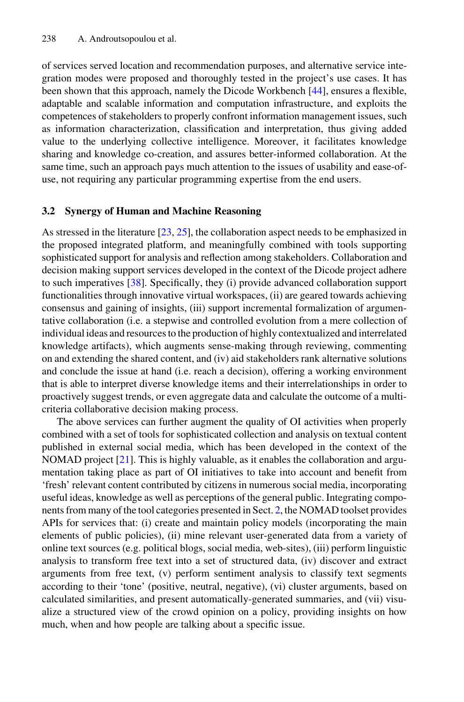of services served location and recommendation purposes, and alternative service inte‐ gration modes were proposed and thoroughly tested in the project's use cases. It has been shown that this approach, namely the Dicode Workbench [\[44\]](#page-15-0), ensures a flexible, adaptable and scalable information and computation infrastructure, and exploits the competences of stakeholders to properly confront information management issues, such as information characterization, classification and interpretation, thus giving added value to the underlying collective intelligence. Moreover, it facilitates knowledge sharing and knowledge co-creation, and assures better-informed collaboration. At the same time, such an approach pays much attention to the issues of usability and ease-ofuse, not requiring any particular programming expertise from the end users.

### **3.2 Synergy of Human and Machine Reasoning**

As stressed in the literature [[23, 25](#page-14-0)], the collaboration aspect needs to be emphasized in the proposed integrated platform, and meaningfully combined with tools supporting sophisticated support for analysis and reflection among stakeholders. Collaboration and decision making support services developed in the context of the Dicode project adhere to such imperatives [[38\]](#page-15-0). Specifically, they (i) provide advanced collaboration support functionalities through innovative virtual workspaces, (ii) are geared towards achieving consensus and gaining of insights, (iii) support incremental formalization of argumentative collaboration (i.e. a stepwise and controlled evolution from a mere collection of individual ideas and resources to the production of highly contextualized and interrelated knowledge artifacts), which augments sense-making through reviewing, commenting on and extending the shared content, and (iv) aid stakeholders rank alternative solutions and conclude the issue at hand (i.e. reach a decision), offering a working environment that is able to interpret diverse knowledge items and their interrelationships in order to proactively suggest trends, or even aggregate data and calculate the outcome of a multicriteria collaborative decision making process.

The above services can further augment the quality of OI activities when properly combined with a set of tools for sophisticated collection and analysis on textual content published in external social media, which has been developed in the context of the NOMAD project  $[21]$  $[21]$ . This is highly valuable, as it enables the collaboration and argumentation taking place as part of OI initiatives to take into account and benefit from 'fresh' relevant content contributed by citizens in numerous social media, incorporating useful ideas, knowledge as well as perceptions of the general public. Integrating components from many of the tool categories presented in Sect. [2,](#page-2-0) the NOMAD toolset provides APIs for services that: (i) create and maintain policy models (incorporating the main elements of public policies), (ii) mine relevant user-generated data from a variety of online text sources (e.g. political blogs, social media, web-sites), (iii) perform linguistic analysis to transform free text into a set of structured data, (iv) discover and extract arguments from free text, (v) perform sentiment analysis to classify text segments according to their 'tone' (positive, neutral, negative), (vi) cluster arguments, based on calculated similarities, and present automatically-generated summaries, and (vii) visualize a structured view of the crowd opinion on a policy, providing insights on how much, when and how people are talking about a specific issue.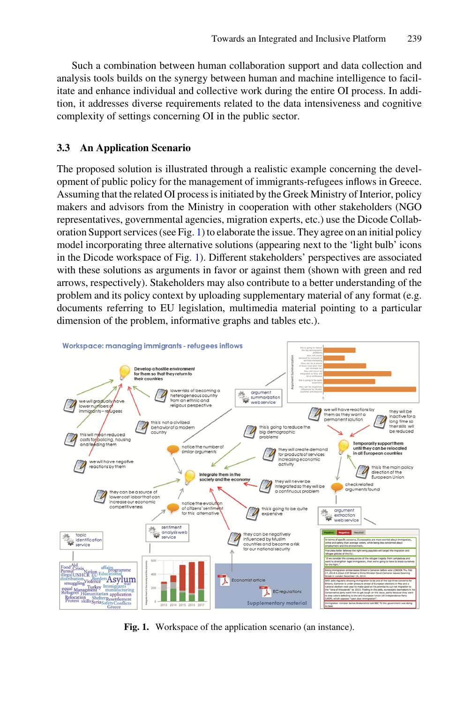<span id="page-11-0"></span>Such a combination between human collaboration support and data collection and analysis tools builds on the synergy between human and machine intelligence to facil‐ itate and enhance individual and collective work during the entire OI process. In addition, it addresses diverse requirements related to the data intensiveness and cognitive complexity of settings concerning OI in the public sector.

# **3.3 An Application Scenario**

The proposed solution is illustrated through a realistic example concerning the development of public policy for the management of immigrants-refugees inflows in Greece. Assuming that the related OI process is initiated by the Greek Ministry of Interior, policy makers and advisors from the Ministry in cooperation with other stakeholders (NGO representatives, governmental agencies, migration experts, etc.) use the Dicode Collab‐ oration Support services (see Fig. 1) to elaborate the issue. They agree on an initial policy model incorporating three alternative solutions (appearing next to the 'light bulb' icons in the Dicode workspace of Fig. 1). Different stakeholders' perspectives are associated with these solutions as arguments in favor or against them (shown with green and red arrows, respectively). Stakeholders may also contribute to a better understanding of the problem and its policy context by uploading supplementary material of any format (e.g. documents referring to EU legislation, multimedia material pointing to a particular dimension of the problem, informative graphs and tables etc.).



**Fig. 1.** Workspace of the application scenario (an instance).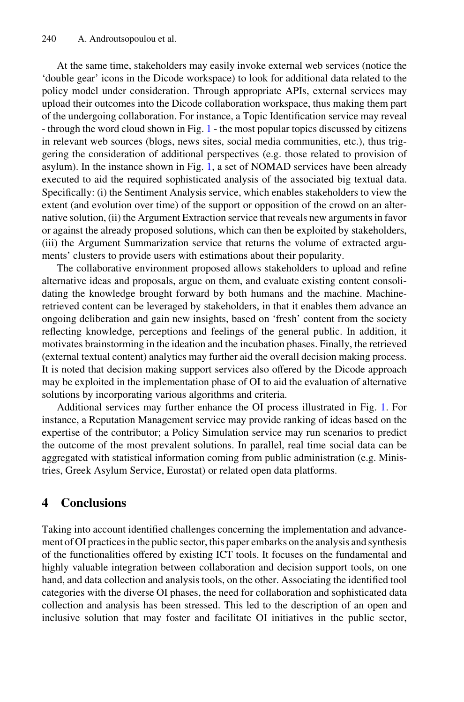At the same time, stakeholders may easily invoke external web services (notice the 'double gear' icons in the Dicode workspace) to look for additional data related to the policy model under consideration. Through appropriate APIs, external services may upload their outcomes into the Dicode collaboration workspace, thus making them part of the undergoing collaboration. For instance, a Topic Identification service may reveal - through the word cloud shown in Fig. [1](#page-11-0) - the most popular topics discussed by citizens in relevant web sources (blogs, news sites, social media communities, etc.), thus triggering the consideration of additional perspectives (e.g. those related to provision of asylum). In the instance shown in Fig. [1,](#page-11-0) a set of NOMAD services have been already executed to aid the required sophisticated analysis of the associated big textual data. Specifically: (i) the Sentiment Analysis service, which enables stakeholders to view the extent (and evolution over time) of the support or opposition of the crowd on an alternative solution, (ii) the Argument Extraction service that reveals new arguments in favor or against the already proposed solutions, which can then be exploited by stakeholders, (iii) the Argument Summarization service that returns the volume of extracted arguments' clusters to provide users with estimations about their popularity.

The collaborative environment proposed allows stakeholders to upload and refine alternative ideas and proposals, argue on them, and evaluate existing content consoli‐ dating the knowledge brought forward by both humans and the machine. Machineretrieved content can be leveraged by stakeholders, in that it enables them advance an ongoing deliberation and gain new insights, based on 'fresh' content from the society reflecting knowledge, perceptions and feelings of the general public. In addition, it motivates brainstorming in the ideation and the incubation phases. Finally, the retrieved (external textual content) analytics may further aid the overall decision making process. It is noted that decision making support services also offered by the Dicode approach may be exploited in the implementation phase of OI to aid the evaluation of alternative solutions by incorporating various algorithms and criteria.

Additional services may further enhance the OI process illustrated in Fig. [1.](#page-11-0) For instance, a Reputation Management service may provide ranking of ideas based on the expertise of the contributor; a Policy Simulation service may run scenarios to predict the outcome of the most prevalent solutions. In parallel, real time social data can be aggregated with statistical information coming from public administration (e.g. Minis‐ tries, Greek Asylum Service, Eurostat) or related open data platforms.

# **4 Conclusions**

Taking into account identified challenges concerning the implementation and advance‐ ment of OI practices in the public sector, this paper embarks on the analysis and synthesis of the functionalities offered by existing ICT tools. It focuses on the fundamental and highly valuable integration between collaboration and decision support tools, on one hand, and data collection and analysis tools, on the other. Associating the identified tool categories with the diverse OI phases, the need for collaboration and sophisticated data collection and analysis has been stressed. This led to the description of an open and inclusive solution that may foster and facilitate OI initiatives in the public sector,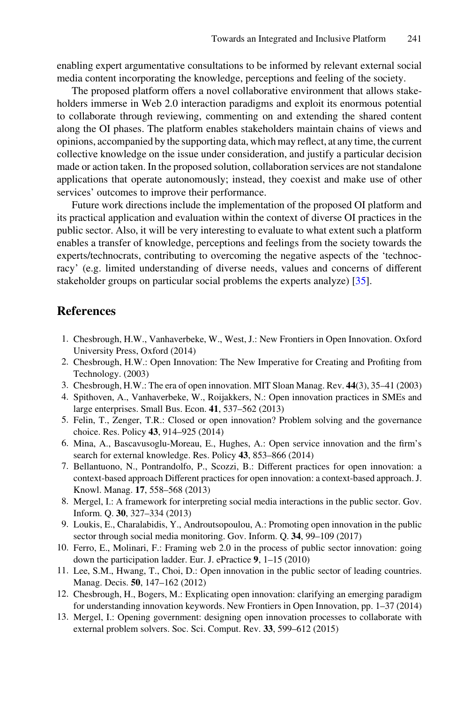<span id="page-13-0"></span>enabling expert argumentative consultations to be informed by relevant external social media content incorporating the knowledge, perceptions and feeling of the society.

The proposed platform offers a novel collaborative environment that allows stakeholders immerse in Web 2.0 interaction paradigms and exploit its enormous potential to collaborate through reviewing, commenting on and extending the shared content along the OI phases. The platform enables stakeholders maintain chains of views and opinions, accompanied by the supporting data, which may reflect, at any time, the current collective knowledge on the issue under consideration, and justify a particular decision made or action taken. In the proposed solution, collaboration services are not standalone applications that operate autonomously; instead, they coexist and make use of other services' outcomes to improve their performance.

Future work directions include the implementation of the proposed OI platform and its practical application and evaluation within the context of diverse OI practices in the public sector. Also, it will be very interesting to evaluate to what extent such a platform enables a transfer of knowledge, perceptions and feelings from the society towards the experts/technocrats, contributing to overcoming the negative aspects of the 'technocracy' (e.g. limited understanding of diverse needs, values and concerns of different stakeholder groups on particular social problems the experts analyze) [[35\]](#page-15-0).

## **References**

- 1. Chesbrough, H.W., Vanhaverbeke, W., West, J.: New Frontiers in Open Innovation. Oxford University Press, Oxford (2014)
- 2. Chesbrough, H.W.: Open Innovation: The New Imperative for Creating and Profiting from Technology. (2003)
- 3. Chesbrough, H.W.: The era of open innovation. MIT Sloan Manag. Rev. **44**(3), 35–41 (2003)
- 4. Spithoven, A., Vanhaverbeke, W., Roijakkers, N.: Open innovation practices in SMEs and large enterprises. Small Bus. Econ. **41**, 537–562 (2013)
- 5. Felin, T., Zenger, T.R.: Closed or open innovation? Problem solving and the governance choice. Res. Policy **43**, 914–925 (2014)
- 6. Mina, A., Bascavusoglu-Moreau, E., Hughes, A.: Open service innovation and the firm's search for external knowledge. Res. Policy **43**, 853–866 (2014)
- 7. Bellantuono, N., Pontrandolfo, P., Scozzi, B.: Different practices for open innovation: a context-based approach Different practices for open innovation: a context-based approach. J. Knowl. Manag. **17**, 558–568 (2013)
- 8. Mergel, I.: A framework for interpreting social media interactions in the public sector. Gov. Inform. Q. **30**, 327–334 (2013)
- 9. Loukis, E., Charalabidis, Y., Androutsopoulou, A.: Promoting open innovation in the public sector through social media monitoring. Gov. Inform. Q. **34**, 99–109 (2017)
- 10. Ferro, E., Molinari, F.: Framing web 2.0 in the process of public sector innovation: going down the participation ladder. Eur. J. ePractice **9**, 1–15 (2010)
- 11. Lee, S.M., Hwang, T., Choi, D.: Open innovation in the public sector of leading countries. Manag. Decis. **50**, 147–162 (2012)
- 12. Chesbrough, H., Bogers, M.: Explicating open innovation: clarifying an emerging paradigm for understanding innovation keywords. New Frontiers in Open Innovation, pp. 1–37 (2014)
- 13. Mergel, I.: Opening government: designing open innovation processes to collaborate with external problem solvers. Soc. Sci. Comput. Rev. **33**, 599–612 (2015)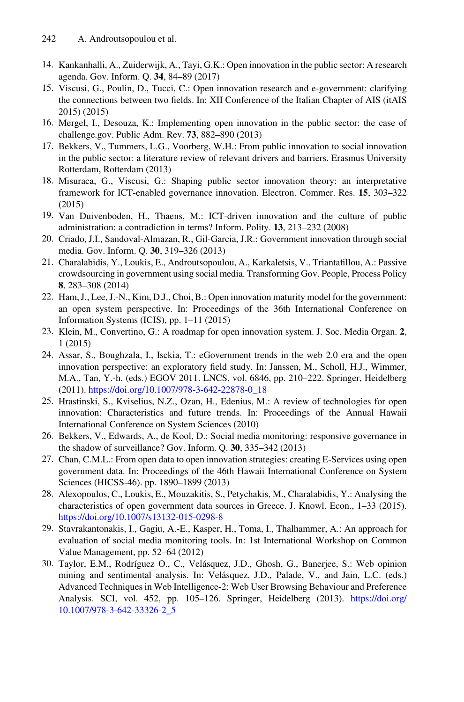- <span id="page-14-0"></span>14. Kankanhalli, A., Zuiderwijk, A., Tayi, G.K.: Open innovation in the public sector: A research agenda. Gov. Inform. Q. **34**, 84–89 (2017)
- 15. Viscusi, G., Poulin, D., Tucci, C.: Open innovation research and e-government: clarifying the connections between two fields. In: XII Conference of the Italian Chapter of AIS (itAIS 2015) (2015)
- 16. Mergel, I., Desouza, K.: Implementing open innovation in the public sector: the case of challenge.gov. Public Adm. Rev. **73**, 882–890 (2013)
- 17. Bekkers, V., Tummers, L.G., Voorberg, W.H.: From public innovation to social innovation in the public sector: a literature review of relevant drivers and barriers. Erasmus University Rotterdam, Rotterdam (2013)
- 18. Misuraca, G., Viscusi, G.: Shaping public sector innovation theory: an interpretative framework for ICT-enabled governance innovation. Electron. Commer. Res. **15**, 303–322 (2015)
- 19. Van Duivenboden, H., Thaens, M.: ICT-driven innovation and the culture of public administration: a contradiction in terms? Inform. Polity. **13**, 213–232 (2008)
- 20. Criado, J.I., Sandoval-Almazan, R., Gil-Garcia, J.R.: Government innovation through social media. Gov. Inform. Q. **30**, 319–326 (2013)
- 21. Charalabidis, Y., Loukis, E., Androutsopoulou, A., Karkaletsis, V., Triantafillou, A.: Passive crowdsourcing in government using social media. Transforming Gov. People, Process Policy **8**, 283–308 (2014)
- 22. Ham, J., Lee, J.-N., Kim, D.J., Choi, B.: Open innovation maturity model for the government: an open system perspective. In: Proceedings of the 36th International Conference on Information Systems (ICIS), pp. 1–11 (2015)
- 23. Klein, M., Convertino, G.: A roadmap for open innovation system. J. Soc. Media Organ. **2**, 1 (2015)
- 24. Assar, S., Boughzala, I., Isckia, T.: eGovernment trends in the web 2.0 era and the open innovation perspective: an exploratory field study. In: Janssen, M., Scholl, H.J., Wimmer, M.A., Tan, Y.-h. (eds.) EGOV 2011. LNCS, vol. 6846, pp. 210–222. Springer, Heidelberg (2011). [https://doi.org/10.1007/978-3-642-22878-0\\_18](http://dx.doi.org/10.1007/978-3-642-22878-0_18)
- 25. Hrastinski, S., Kviselius, N.Z., Ozan, H., Edenius, M.: A review of technologies for open innovation: Characteristics and future trends. In: Proceedings of the Annual Hawaii International Conference on System Sciences (2010)
- 26. Bekkers, V., Edwards, A., de Kool, D.: Social media monitoring: responsive governance in the shadow of surveillance? Gov. Inform. Q. **30**, 335–342 (2013)
- 27. Chan, C.M.L.: From open data to open innovation strategies: creating E-Services using open government data. In: Proceedings of the 46th Hawaii International Conference on System Sciences (HICSS-46). pp. 1890–1899 (2013)
- 28. Alexopoulos, C., Loukis, E., Mouzakitis, S., Petychakis, M., Charalabidis, Y.: Analysing the characteristics of open government data sources in Greece. J. Knowl. Econ., 1–33 (2015). [https://doi.org/10.1007/s13132-015-0298-8](http://dx.doi.org/10.1007/s13132-015-0298-8)
- 29. Stavrakantonakis, I., Gagiu, A.-E., Kasper, H., Toma, I., Thalhammer, A.: An approach for evaluation of social media monitoring tools. In: 1st International Workshop on Common Value Management, pp. 52–64 (2012)
- 30. Taylor, E.M., Rodríguez O., C., Velásquez, J.D., Ghosh, G., Banerjee, S.: Web opinion mining and sentimental analysis. In: Velásquez, J.D., Palade, V., and Jain, L.C. (eds.) Advanced Techniques in Web Intelligence-2: Web User Browsing Behaviour and Preference Analysis. SCI, vol. 452, pp. 105–126. Springer, Heidelberg (2013). [https://doi.org/](http://dx.doi.org/10.1007/978-3-642-33326-2_5) [10.1007/978-3-642-33326-2\\_5](http://dx.doi.org/10.1007/978-3-642-33326-2_5)